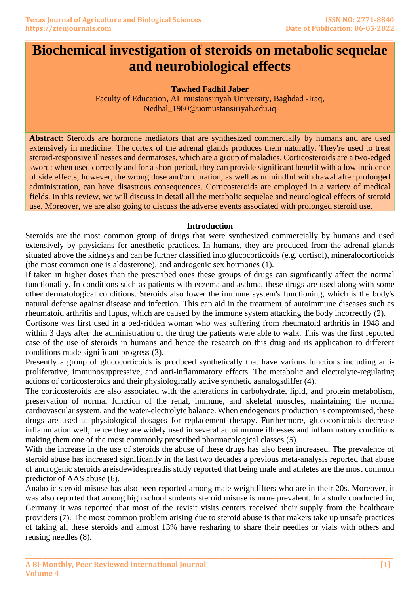# **Biochemical investigation of steroids on metabolic sequelae and neurobiological effects**

**\_\_\_\_\_\_\_\_\_\_\_\_\_\_\_\_\_\_\_\_\_\_\_\_\_\_\_\_\_\_\_\_\_\_\_\_\_\_\_\_\_\_\_\_\_\_\_\_\_\_\_\_\_\_\_\_\_\_\_\_\_\_\_\_\_\_\_\_\_\_\_\_\_\_\_\_\_\_\_\_\_\_\_\_\_\_\_\_\_\_\_\_\_\_\_\_\_\_\_\_\_\_\_\_\_\_\_\_\_\_\_\_\_\_\_\_\_\_\_\_\_\_\_\_\_\_\_\_\_\_\_\_\_\_**

**Tawhed Fadhil Jaber**

Faculty of Education, AL mustansiriyah University, Baghdad -Iraq, Nedhal\_1980@uomustansiriyah.edu.iq

**Abstract:** Steroids are hormone mediators that are synthesized commercially by humans and are used extensively in medicine. The cortex of the adrenal glands produces them naturally. They're used to treat steroid-responsive illnesses and dermatoses, which are a group of maladies. Corticosteroids are a two-edged sword: when used correctly and for a short period, they can provide significant benefit with a low incidence of side effects; however, the wrong dose and/or duration, as well as unmindful withdrawal after prolonged administration, can have disastrous consequences. Corticosteroids are employed in a variety of medical fields. In this review, we will discuss in detail all the metabolic sequelae and neurological effects of steroid use. Moreover, we are also going to discuss the adverse events associated with prolonged steroid use.

### **Introduction**

Steroids are the most common group of drugs that were synthesized commercially by humans and used extensively by physicians for anesthetic practices. In humans, they are produced from the adrenal glands situated above the kidneys and can be further classified into glucocorticoids (e.g. cortisol), mineralocorticoids (the most common one is aldosterone), and androgenic sex hormones (1).

If taken in higher doses than the prescribed ones these groups of drugs can significantly affect the normal functionality. In conditions such as patients with eczema and asthma, these drugs are used along with some other dermatological conditions. Steroids also lower the immune system's functioning, which is the body's natural defense against disease and infection. This can aid in the treatment of autoimmune diseases such as rheumatoid arthritis and lupus, which are caused by the immune system attacking the body incorrectly (2).

Cortisone was first used in a bed-ridden woman who was suffering from rheumatoid arthritis in 1948 and within 3 days after the administration of the drug the patients were able to walk. This was the first reported case of the use of steroids in humans and hence the research on this drug and its application to different conditions made significant progress (3).

Presently a group of glucocorticoids is produced synthetically that have various functions including antiproliferative, immunosuppressive, and anti-inflammatory effects. The metabolic and electrolyte-regulating actions of corticosteroids and their physiologically active synthetic aanalogsdiffer (4).

The corticosteroids are also associated with the alterations in carbohydrate, lipid, and protein metabolism, preservation of normal function of the renal, immune, and skeletal muscles, maintaining the normal cardiovascular system, and the water-electrolyte balance. When endogenous production is compromised, these drugs are used at physiological dosages for replacement therapy. Furthermore, glucocorticoids decrease inflammation well, hence they are widely used in several autoimmune illnesses and inflammatory conditions making them one of the most commonly prescribed pharmacological classes (5).

With the increase in the use of steroids the abuse of these drugs has also been increased. The prevalence of steroid abuse has increased significantly in the last two decades a previous meta-analysis reported that abuse of androgenic steroids areisdewidespreadis study reported that being male and athletes are the most common predictor of AAS abuse (6).

Anabolic steroid misuse has also been reported among male weightlifters who are in their 20s. Moreover, it was also reported that among high school students steroid misuse is more prevalent. In a study conducted in, Germany it was reported that most of the revisit visits centers received their supply from the healthcare providers (7). The most common problem arising due to steroid abuse is that makers take up unsafe practices of taking all these steroids and almost 13% have resharing to share their needles or vials with others and reusing needles (8).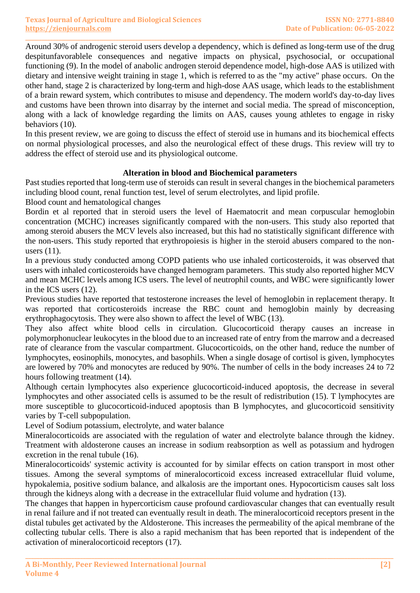**\_\_\_\_\_\_\_\_\_\_\_\_\_\_\_\_\_\_\_\_\_\_\_\_\_\_\_\_\_\_\_\_\_\_\_\_\_\_\_\_\_\_\_\_\_\_\_\_\_\_\_\_\_\_\_\_\_\_\_\_\_\_\_\_\_\_\_\_\_\_\_\_\_\_\_\_\_\_\_\_\_\_\_\_\_\_\_\_\_\_\_\_\_\_\_\_\_\_\_\_\_\_\_\_\_\_\_\_\_\_\_\_\_\_\_\_\_\_\_\_\_\_\_\_\_\_\_\_\_\_\_\_\_\_** Around 30% of androgenic steroid users develop a dependency, which is defined as long-term use of the drug despitunfavorablele consequences and negative impacts on physical, psychosocial, or occupational functioning (9). In the model of anabolic androgen steroid dependence model, high-dose AAS is utilized with dietary and intensive weight training in stage 1, which is referred to as the "my active" phase occurs. On the other hand, stage 2 is characterized by long-term and high-dose AAS usage, which leads to the establishment of a brain reward system, which contributes to misuse and dependency. The modern world's day-to-day lives and customs have been thrown into disarray by the internet and social media. The spread of misconception, along with a lack of knowledge regarding the limits on AAS, causes young athletes to engage in risky behaviors (10).

In this present review, we are going to discuss the effect of steroid use in humans and its biochemical effects on normal physiological processes, and also the neurological effect of these drugs. This review will try to address the effect of steroid use and its physiological outcome.

# **Alteration in blood and Biochemical parameters**

Past studies reported that long-term use of steroids can result in several changes in the biochemical parameters including blood count, renal function test, level of serum electrolytes, and lipid profile.

Blood count and hematological changes

Bordin et al reported that in steroid users the level of Haematocrit and mean corpuscular hemoglobin concentration (MCHC) increases significantly compared with the non-users. This study also reported that among steroid abusers the MCV levels also increased, but this had no statistically significant difference with the non-users. This study reported that erythropoiesis is higher in the steroid abusers compared to the nonusers (11).

In a previous study conducted among COPD patients who use inhaled corticosteroids, it was observed that users with inhaled corticosteroids have changed hemogram parameters. This study also reported higher MCV and mean MCHC levels among ICS users. The level of neutrophil counts, and WBC were significantly lower in the ICS users (12).

Previous studies have reported that testosterone increases the level of hemoglobin in replacement therapy. It was reported that corticosteroids increase the RBC count and hemoglobin mainly by decreasing erythrophagocytosis. They were also shown to affect the level of WBC (13).

They also affect white blood cells in circulation. Glucocorticoid therapy causes an increase in polymorphonuclear leukocytes in the blood due to an increased rate of entry from the marrow and a decreased rate of clearance from the vascular compartment. Glucocorticoids, on the other hand, reduce the number of lymphocytes, eosinophils, monocytes, and basophils. When a single dosage of cortisol is given, lymphocytes are lowered by 70% and monocytes are reduced by 90%. The number of cells in the body increases 24 to 72 hours following treatment (14).

Although certain lymphocytes also experience glucocorticoid-induced apoptosis, the decrease in several lymphocytes and other associated cells is assumed to be the result of redistribution (15). T lymphocytes are more susceptible to glucocorticoid-induced apoptosis than B lymphocytes, and glucocorticoid sensitivity varies by T-cell subpopulation.

Level of Sodium potassium, electrolyte, and water balance

Mineralocorticoids are associated with the regulation of water and electrolyte balance through the kidney. Treatment with aldosterone causes an increase in sodium reabsorption as well as potassium and hydrogen excretion in the renal tubule (16).

Mineralocorticoids' systemic activity is accounted for by similar effects on cation transport in most other tissues. Among the several symptoms of mineralocorticoid excess increased extracellular fluid volume, hypokalemia, positive sodium balance, and alkalosis are the important ones. Hypocorticism causes salt loss through the kidneys along with a decrease in the extracellular fluid volume and hydration (13).

The changes that happen in hypercorticism cause profound cardiovascular changes that can eventually result in renal failure and if not treated can eventually result in death. The mineralocorticoid receptors present in the distal tubules get activated by the Aldosterone. This increases the permeability of the apical membrane of the collecting tubular cells. There is also a rapid mechanism that has been reported that is independent of the activation of mineralocorticoid receptors (17).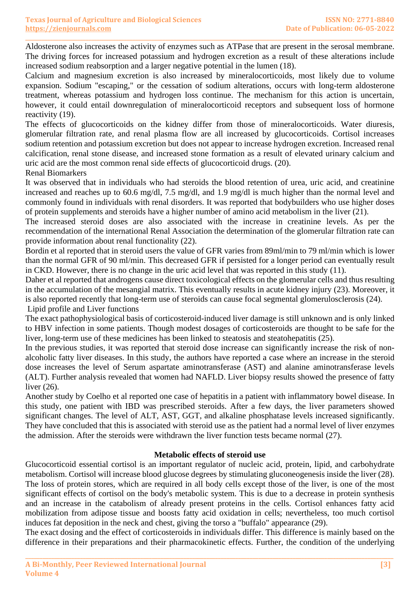**\_\_\_\_\_\_\_\_\_\_\_\_\_\_\_\_\_\_\_\_\_\_\_\_\_\_\_\_\_\_\_\_\_\_\_\_\_\_\_\_\_\_\_\_\_\_\_\_\_\_\_\_\_\_\_\_\_\_\_\_\_\_\_\_\_\_\_\_\_\_\_\_\_\_\_\_\_\_\_\_\_\_\_\_\_\_\_\_\_\_\_\_\_\_\_\_\_\_\_\_\_\_\_\_\_\_\_\_\_\_\_\_\_\_\_\_\_\_\_\_\_\_\_\_\_\_\_\_\_\_\_\_\_\_** Aldosterone also increases the activity of enzymes such as ATPase that are present in the serosal membrane. The driving forces for increased potassium and hydrogen excretion as a result of these alterations include increased sodium reabsorption and a larger negative potential in the lumen (18).

Calcium and magnesium excretion is also increased by mineralocorticoids, most likely due to volume expansion. Sodium "escaping," or the cessation of sodium alterations, occurs with long-term aldosterone treatment, whereas potassium and hydrogen loss continue. The mechanism for this action is uncertain, however, it could entail downregulation of mineralocorticoid receptors and subsequent loss of hormone reactivity (19).

The effects of glucocorticoids on the kidney differ from those of mineralocorticoids. Water diuresis, glomerular filtration rate, and renal plasma flow are all increased by glucocorticoids. Cortisol increases sodium retention and potassium excretion but does not appear to increase hydrogen excretion. Increased renal calcification, renal stone disease, and increased stone formation as a result of elevated urinary calcium and uric acid are the most common renal side effects of glucocorticoid drugs. (20).

Renal Biomarkers

It was observed that in individuals who had steroids the blood retention of urea, uric acid, and creatinine increased and reaches up to 60.6 mg/dl, 7.5 mg/dl, and 1.9 mg/dl is much higher than the normal level and commonly found in individuals with renal disorders. It was reported that bodybuilders who use higher doses of protein supplements and steroids have a higher number of amino acid metabolism in the liver (21).

The increased steroid doses are also associated with the increase in creatinine levels. As per the recommendation of the international Renal Association the determination of the glomerular filtration rate can provide information about renal functionality (22).

Bordin et al reported that in steroid users the value of GFR varies from 89ml/min to 79 ml/min which is lower than the normal GFR of 90 ml/min. This decreased GFR if persisted for a longer period can eventually result in CKD. However, there is no change in the uric acid level that was reported in this study (11).

Daher et al reported that androgens cause direct toxicological effects on the glomerular cells and thus resulting in the accumulation of the mesangial matrix. This eventually results in acute kidney injury (23). Moreover, it is also reported recently that long-term use of steroids can cause focal segmental glomerulosclerosis (24). Lipid profile and Liver functions

The exact pathophysiological basis of corticosteroid-induced liver damage is still unknown and is only linked to HBV infection in some patients. Though modest dosages of corticosteroids are thought to be safe for the liver, long-term use of these medicines has been linked to steatosis and steatohepatitis (25).

In the previous studies, it was reported that steroid dose increase can significantly increase the risk of nonalcoholic fatty liver diseases. In this study, the authors have reported a case where an increase in the steroid dose increases the level of Serum aspartate aminotransferase (AST) and alanine aminotransferase levels (ALT). Further analysis revealed that women had NAFLD. Liver biopsy results showed the presence of fatty liver (26).

Another study by Coelho et al reported one case of hepatitis in a patient with inflammatory bowel disease. In this study, one patient with IBD was prescribed steroids. After a few days, the liver parameters showed significant changes. The level of ALT, AST, GGT, and alkaline phosphatase levels increased significantly. They have concluded that this is associated with steroid use as the patient had a normal level of liver enzymes the admission. After the steroids were withdrawn the liver function tests became normal (27).

# **Metabolic effects of steroid use**

Glucocorticoid essential cortisol is an important regulator of nucleic acid, protein, lipid, and carbohydrate metabolism. Cortisol will increase blood glucose degrees by stimulating gluconeogenesis inside the liver (28). The loss of protein stores, which are required in all body cells except those of the liver, is one of the most significant effects of cortisol on the body's metabolic system. This is due to a decrease in protein synthesis and an increase in the catabolism of already present proteins in the cells. Cortisol enhances fatty acid mobilization from adipose tissue and boosts fatty acid oxidation in cells; nevertheless, too much cortisol induces fat deposition in the neck and chest, giving the torso a "buffalo" appearance (29).

The exact dosing and the effect of corticosteroids in individuals differ. This difference is mainly based on the difference in their preparations and their pharmacokinetic effects. Further, the condition of the underlying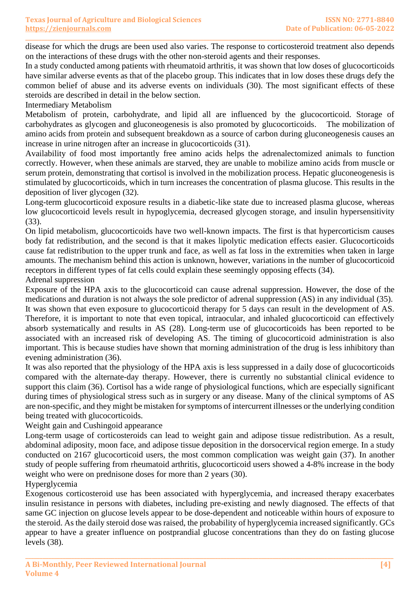disease for which the drugs are been used also varies. The response to corticosteroid treatment also depends on the interactions of these drugs with the other non-steroid agents and their responses.

**\_\_\_\_\_\_\_\_\_\_\_\_\_\_\_\_\_\_\_\_\_\_\_\_\_\_\_\_\_\_\_\_\_\_\_\_\_\_\_\_\_\_\_\_\_\_\_\_\_\_\_\_\_\_\_\_\_\_\_\_\_\_\_\_\_\_\_\_\_\_\_\_\_\_\_\_\_\_\_\_\_\_\_\_\_\_\_\_\_\_\_\_\_\_\_\_\_\_\_\_\_\_\_\_\_\_\_\_\_\_\_\_\_\_\_\_\_\_\_\_\_\_\_\_\_\_\_\_\_\_\_\_\_\_**

In a study conducted among patients with rheumatoid arthritis, it was shown that low doses of glucocorticoids have similar adverse events as that of the placebo group. This indicates that in low doses these drugs defy the common belief of abuse and its adverse events on individuals (30). The most significant effects of these steroids are described in detail in the below section.

Intermediary Metabolism

Metabolism of protein, carbohydrate, and lipid all are influenced by the glucocorticoid. Storage of carbohydrates as glycogen and gluconeogenesis is also promoted by glucocorticoids. The mobilization of amino acids from protein and subsequent breakdown as a source of carbon during gluconeogenesis causes an increase in urine nitrogen after an increase in glucocorticoids (31).

Availability of food most importantly free amino acids helps the adrenalectomized animals to function correctly. However, when these animals are starved, they are unable to mobilize amino acids from muscle or serum protein, demonstrating that cortisol is involved in the mobilization process. Hepatic gluconeogenesis is stimulated by glucocorticoids, which in turn increases the concentration of plasma glucose. This results in the deposition of liver glycogen (32).

Long-term glucocorticoid exposure results in a diabetic-like state due to increased plasma glucose, whereas low glucocorticoid levels result in hypoglycemia, decreased glycogen storage, and insulin hypersensitivity (33).

On lipid metabolism, glucocorticoids have two well-known impacts. The first is that hypercorticism causes body fat redistribution, and the second is that it makes lipolytic medication effects easier. Glucocorticoids cause fat redistribution to the upper trunk and face, as well as fat loss in the extremities when taken in large amounts. The mechanism behind this action is unknown, however, variations in the number of glucocorticoid receptors in different types of fat cells could explain these seemingly opposing effects (34).

Adrenal suppression

Exposure of the HPA axis to the glucocorticoid can cause adrenal suppression. However, the dose of the medications and duration is not always the sole predictor of adrenal suppression (AS) in any individual (35). It was shown that even exposure to glucocorticoid therapy for 5 days can result in the development of AS. Therefore, it is important to note that even topical, intraocular, and inhaled glucocorticoid can effectively absorb systematically and results in AS (28). Long-term use of glucocorticoids has been reported to be associated with an increased risk of developing AS. The timing of glucocorticoid administration is also important. This is because studies have shown that morning administration of the drug is less inhibitory than evening administration (36).

It was also reported that the physiology of the HPA axis is less suppressed in a daily dose of glucocorticoids compared with the alternate-day therapy. However, there is currently no substantial clinical evidence to support this claim (36). Cortisol has a wide range of physiological functions, which are especially significant during times of physiological stress such as in surgery or any disease. Many of the clinical symptoms of AS are non-specific, and they might be mistaken for symptoms of intercurrent illnesses or the underlying condition being treated with glucocorticoids.

Weight gain and Cushingoid appearance

Long-term usage of corticosteroids can lead to weight gain and adipose tissue redistribution. As a result, abdominal adiposity, moon face, and adipose tissue deposition in the dorsocervical region emerge. In a study conducted on 2167 glucocorticoid users, the most common complication was weight gain (37). In another study of people suffering from rheumatoid arthritis, glucocorticoid users showed a 4-8% increase in the body weight who were on prednisone doses for more than 2 years (30).

# Hyperglycemia

Exogenous corticosteroid use has been associated with hyperglycemia, and increased therapy exacerbates insulin resistance in persons with diabetes, including pre-existing and newly diagnosed. The effects of that same GC injection on glucose levels appear to be dose-dependent and noticeable within hours of exposure to the steroid. As the daily steroid dose was raised, the probability of hyperglycemia increased significantly. GCs appear to have a greater influence on postprandial glucose concentrations than they do on fasting glucose levels (38).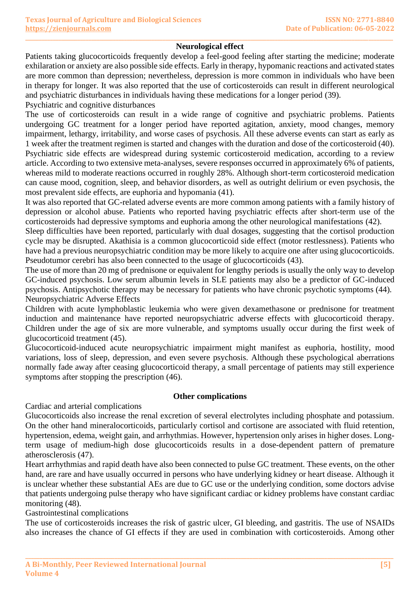#### **\_\_\_\_\_\_\_\_\_\_\_\_\_\_\_\_\_\_\_\_\_\_\_\_\_\_\_\_\_\_\_\_\_\_\_\_\_\_\_\_\_\_\_\_\_\_\_\_\_\_\_\_\_\_\_\_\_\_\_\_\_\_\_\_\_\_\_\_\_\_\_\_\_\_\_\_\_\_\_\_\_\_\_\_\_\_\_\_\_\_\_\_\_\_\_\_\_\_\_\_\_\_\_\_\_\_\_\_\_\_\_\_\_\_\_\_\_\_\_\_\_\_\_\_\_\_\_\_\_\_\_\_\_\_ Neurological effect**

Patients taking glucocorticoids frequently develop a feel-good feeling after starting the medicine; moderate exhilaration or anxiety are also possible side effects. Early in therapy, hypomanic reactions and activated states are more common than depression; nevertheless, depression is more common in individuals who have been in therapy for longer. It was also reported that the use of corticosteroids can result in different neurological and psychiatric disturbances in individuals having these medications for a longer period (39). Psychiatric and cognitive disturbances

The use of corticosteroids can result in a wide range of cognitive and psychiatric problems. Patients undergoing GC treatment for a longer period have reported agitation, anxiety, mood changes, memory impairment, lethargy, irritability, and worse cases of psychosis. All these adverse events can start as early as 1 week after the treatment regimen is started and changes with the duration and dose of the corticosteroid (40). Psychiatric side effects are widespread during systemic corticosteroid medication, according to a review article. According to two extensive meta-analyses, severe responses occurred in approximately 6% of patients, whereas mild to moderate reactions occurred in roughly 28%. Although short-term corticosteroid medication can cause mood, cognition, sleep, and behavior disorders, as well as outright delirium or even psychosis, the most prevalent side effects, are euphoria and hypomania (41).

It was also reported that GC-related adverse events are more common among patients with a family history of depression or alcohol abuse. Patients who reported having psychiatric effects after short-term use of the corticosteroids had depressive symptoms and euphoria among the other neurological manifestations (42).

Sleep difficulties have been reported, particularly with dual dosages, suggesting that the cortisol production cycle may be disrupted. Akathisia is a common glucocorticoid side effect (motor restlessness). Patients who have had a previous neuropsychiatric condition may be more likely to acquire one after using glucocorticoids. Pseudotumor cerebri has also been connected to the usage of glucocorticoids (43).

The use of more than 20 mg of prednisone or equivalent for lengthy periods is usually the only way to develop GC-induced psychosis. Low serum albumin levels in SLE patients may also be a predictor of GC-induced psychosis. Antipsychotic therapy may be necessary for patients who have chronic psychotic symptoms (44). Neuropsychiatric Adverse Effects

Children with acute lymphoblastic leukemia who were given dexamethasone or prednisone for treatment induction and maintenance have reported neuropsychiatric adverse effects with glucocorticoid therapy. Children under the age of six are more vulnerable, and symptoms usually occur during the first week of glucocorticoid treatment (45).

Glucocorticoid-induced acute neuropsychiatric impairment might manifest as euphoria, hostility, mood variations, loss of sleep, depression, and even severe psychosis. Although these psychological aberrations normally fade away after ceasing glucocorticoid therapy, a small percentage of patients may still experience symptoms after stopping the prescription (46).

### **Other complications**

Cardiac and arterial complications

Glucocorticoids also increase the renal excretion of several electrolytes including phosphate and potassium. On the other hand mineralocorticoids, particularly cortisol and cortisone are associated with fluid retention, hypertension, edema, weight gain, and arrhythmias. However, hypertension only arises in higher doses. Longterm usage of medium-high dose glucocorticoids results in a dose-dependent pattern of premature atherosclerosis (47).

Heart arrhythmias and rapid death have also been connected to pulse GC treatment. These events, on the other hand, are rare and have usually occurred in persons who have underlying kidney or heart disease. Although it is unclear whether these substantial AEs are due to GC use or the underlying condition, some doctors advise that patients undergoing pulse therapy who have significant cardiac or kidney problems have constant cardiac monitoring (48).

Gastrointestinal complications

The use of corticosteroids increases the risk of gastric ulcer, GI bleeding, and gastritis. The use of NSAIDs also increases the chance of GI effects if they are used in combination with corticosteroids. Among other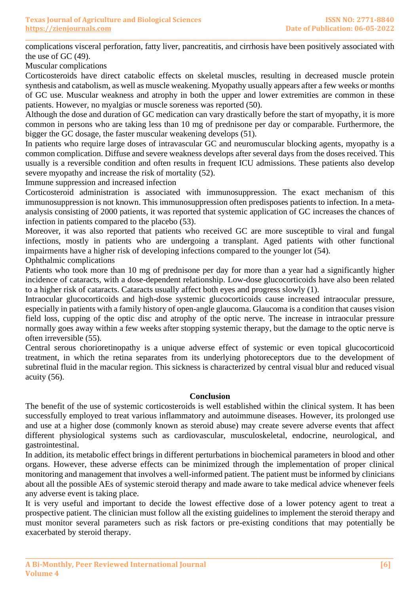**\_\_\_\_\_\_\_\_\_\_\_\_\_\_\_\_\_\_\_\_\_\_\_\_\_\_\_\_\_\_\_\_\_\_\_\_\_\_\_\_\_\_\_\_\_\_\_\_\_\_\_\_\_\_\_\_\_\_\_\_\_\_\_\_\_\_\_\_\_\_\_\_\_\_\_\_\_\_\_\_\_\_\_\_\_\_\_\_\_\_\_\_\_\_\_\_\_\_\_\_\_\_\_\_\_\_\_\_\_\_\_\_\_\_\_\_\_\_\_\_\_\_\_\_\_\_\_\_\_\_\_\_\_\_** complications visceral perforation, fatty liver, pancreatitis, and cirrhosis have been positively associated with the use of GC (49).

Muscular complications

Corticosteroids have direct catabolic effects on skeletal muscles, resulting in decreased muscle protein synthesis and catabolism, as well as muscle weakening. Myopathy usually appears after a few weeks or months of GC use. Muscular weakness and atrophy in both the upper and lower extremities are common in these patients. However, no myalgias or muscle soreness was reported (50).

Although the dose and duration of GC medication can vary drastically before the start of myopathy, it is more common in persons who are taking less than 10 mg of prednisone per day or comparable. Furthermore, the bigger the GC dosage, the faster muscular weakening develops (51).

In patients who require large doses of intravascular GC and neuromuscular blocking agents, myopathy is a common complication. Diffuse and severe weakness develops after several days from the doses received. This usually is a reversible condition and often results in frequent ICU admissions. These patients also develop severe myopathy and increase the risk of mortality (52).

Immune suppression and increased infection

Corticosteroid administration is associated with immunosuppression. The exact mechanism of this immunosuppression is not known. This immunosuppression often predisposes patients to infection. In a metaanalysis consisting of 2000 patients, it was reported that systemic application of GC increases the chances of infection in patients compared to the placebo (53).

Moreover, it was also reported that patients who received GC are more susceptible to viral and fungal infections, mostly in patients who are undergoing a transplant. Aged patients with other functional impairments have a higher risk of developing infections compared to the younger lot (54).

Ophthalmic complications

Patients who took more than 10 mg of prednisone per day for more than a year had a significantly higher incidence of cataracts, with a dose-dependent relationship. Low-dose glucocorticoids have also been related to a higher risk of cataracts. Cataracts usually affect both eyes and progress slowly (1).

Intraocular glucocorticoids and high-dose systemic glucocorticoids cause increased intraocular pressure, especially in patients with a family history of open-angle glaucoma. Glaucoma is a condition that causes vision field loss, cupping of the optic disc and atrophy of the optic nerve. The increase in intraocular pressure normally goes away within a few weeks after stopping systemic therapy, but the damage to the optic nerve is often irreversible (55).

Central serous chorioretinopathy is a unique adverse effect of systemic or even topical glucocorticoid treatment, in which the retina separates from its underlying photoreceptors due to the development of subretinal fluid in the macular region. This sickness is characterized by central visual blur and reduced visual acuity (56).

### **Conclusion**

The benefit of the use of systemic corticosteroids is well established within the clinical system. It has been successfully employed to treat various inflammatory and autoimmune diseases. However, its prolonged use and use at a higher dose (commonly known as steroid abuse) may create severe adverse events that affect different physiological systems such as cardiovascular, musculoskeletal, endocrine, neurological, and gastrointestinal.

In addition, its metabolic effect brings in different perturbations in biochemical parameters in blood and other organs. However, these adverse effects can be minimized through the implementation of proper clinical monitoring and management that involves a well-informed patient. The patient must be informed by clinicians about all the possible AEs of systemic steroid therapy and made aware to take medical advice whenever feels any adverse event is taking place.

It is very useful and important to decide the lowest effective dose of a lower potency agent to treat a prospective patient. The clinician must follow all the existing guidelines to implement the steroid therapy and must monitor several parameters such as risk factors or pre-existing conditions that may potentially be exacerbated by steroid therapy.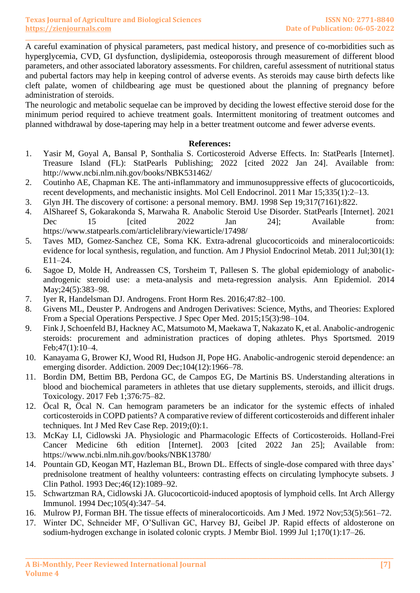A careful examination of physical parameters, past medical history, and presence of co-morbidities such as hyperglycemia, CVD, GI dysfunction, dyslipidemia, osteoporosis through measurement of different blood parameters, and other associated laboratory assessments. For children, careful assessment of nutritional status and pubertal factors may help in keeping control of adverse events. As steroids may cause birth defects like cleft palate, women of childbearing age must be questioned about the planning of pregnancy before administration of steroids.

**\_\_\_\_\_\_\_\_\_\_\_\_\_\_\_\_\_\_\_\_\_\_\_\_\_\_\_\_\_\_\_\_\_\_\_\_\_\_\_\_\_\_\_\_\_\_\_\_\_\_\_\_\_\_\_\_\_\_\_\_\_\_\_\_\_\_\_\_\_\_\_\_\_\_\_\_\_\_\_\_\_\_\_\_\_\_\_\_\_\_\_\_\_\_\_\_\_\_\_\_\_\_\_\_\_\_\_\_\_\_\_\_\_\_\_\_\_\_\_\_\_\_\_\_\_\_\_\_\_\_\_\_\_\_**

The neurologic and metabolic sequelae can be improved by deciding the lowest effective steroid dose for the minimum period required to achieve treatment goals. Intermittent monitoring of treatment outcomes and planned withdrawal by dose-tapering may help in a better treatment outcome and fewer adverse events.

## **References:**

- 1. Yasir M, Goyal A, Bansal P, Sonthalia S. Corticosteroid Adverse Effects. In: StatPearls [Internet]. Treasure Island (FL): StatPearls Publishing; 2022 [cited 2022 Jan 24]. Available from: http://www.ncbi.nlm.nih.gov/books/NBK531462/
- 2. Coutinho AE, Chapman KE. The anti-inflammatory and immunosuppressive effects of glucocorticoids, recent developments, and mechanistic insights. Mol Cell Endocrinol. 2011 Mar 15;335(1):2–13.
- 3. Glyn JH. The discovery of cortisone: a personal memory. BMJ. 1998 Sep 19;317(7161):822.
- 4. AlShareef S, Gokarakonda S, Marwaha R. Anabolic Steroid Use Disorder. StatPearls [Internet]. 2021 Dec 15 [cited 2022 Jan 24]; Available from: https://www.statpearls.com/articlelibrary/viewarticle/17498/
- 5. Taves MD, Gomez-Sanchez CE, Soma KK. Extra-adrenal glucocorticoids and mineralocorticoids: evidence for local synthesis, regulation, and function. Am J Physiol Endocrinol Metab. 2011 Jul;301(1): E11–24.
- 6. Sagoe D, Molde H, Andreassen CS, Torsheim T, Pallesen S. The global epidemiology of anabolicandrogenic steroid use: a meta-analysis and meta-regression analysis. Ann Epidemiol. 2014 May: 24(5): 383-98.
- 7. Iyer R, Handelsman DJ. Androgens. Front Horm Res. 2016;47:82–100.
- 8. Givens ML, Deuster P. Androgens and Androgen Derivatives: Science, Myths, and Theories: Explored From a Special Operations Perspective. J Spec Oper Med. 2015;15(3):98–104.
- 9. Fink J, Schoenfeld BJ, Hackney AC, Matsumoto M, Maekawa T, Nakazato K, et al. Anabolic-androgenic steroids: procurement and administration practices of doping athletes. Phys Sportsmed. 2019 Feb;47(1):10–4.
- 10. Kanayama G, Brower KJ, Wood RI, Hudson JI, Pope HG. Anabolic-androgenic steroid dependence: an emerging disorder. Addiction. 2009 Dec;104(12):1966–78.
- 11. Bordin DM, Bettim BB, Perdona GC, de Campos EG, De Martinis BS. Understanding alterations in blood and biochemical parameters in athletes that use dietary supplements, steroids, and illicit drugs. Toxicology. 2017 Feb 1;376:75–82.
- 12. Öcal R, Öcal N. Can hemogram parameters be an indicator for the systemic effects of inhaled corticosteroids in COPD patients? A comparative review of different corticosteroids and different inhaler techniques. Int J Med Rev Case Rep. 2019;(0):1.
- 13. McKay LI, Cidlowski JA. Physiologic and Pharmacologic Effects of Corticosteroids. Holland-Frei Cancer Medicine 6th edition [Internet]. 2003 [cited 2022 Jan 25]; Available from: https://www.ncbi.nlm.nih.gov/books/NBK13780/
- 14. Pountain GD, Keogan MT, Hazleman BL, Brown DL. Effects of single-dose compared with three days' prednisolone treatment of healthy volunteers: contrasting effects on circulating lymphocyte subsets. J Clin Pathol. 1993 Dec;46(12):1089–92.
- 15. Schwartzman RA, Cidlowski JA. Glucocorticoid-induced apoptosis of lymphoid cells. Int Arch Allergy Immunol. 1994 Dec;105(4):347–54.
- 16. Mulrow PJ, Forman BH. The tissue effects of mineralocorticoids. Am J Med. 1972 Nov;53(5):561–72.
- 17. Winter DC, Schneider MF, O'Sullivan GC, Harvey BJ, Geibel JP. Rapid effects of aldosterone on sodium-hydrogen exchange in isolated colonic crypts. J Membr Biol. 1999 Jul 1;170(1):17–26.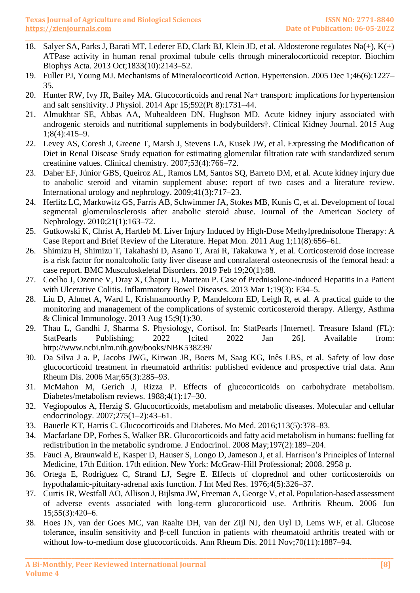- **\_\_\_\_\_\_\_\_\_\_\_\_\_\_\_\_\_\_\_\_\_\_\_\_\_\_\_\_\_\_\_\_\_\_\_\_\_\_\_\_\_\_\_\_\_\_\_\_\_\_\_\_\_\_\_\_\_\_\_\_\_\_\_\_\_\_\_\_\_\_\_\_\_\_\_\_\_\_\_\_\_\_\_\_\_\_\_\_\_\_\_\_\_\_\_\_\_\_\_\_\_\_\_\_\_\_\_\_\_\_\_\_\_\_\_\_\_\_\_\_\_\_\_\_\_\_\_\_\_\_\_\_\_\_** 18. Salyer SA, Parks J, Barati MT, Lederer ED, Clark BJ, Klein JD, et al. Aldosterone regulates Na(+), K(+) ATPase activity in human renal proximal tubule cells through mineralocorticoid receptor. Biochim Biophys Acta. 2013 Oct;1833(10):2143–52.
- 19. Fuller PJ, Young MJ. Mechanisms of Mineralocorticoid Action. Hypertension. 2005 Dec 1;46(6):1227– 35.
- 20. Hunter RW, Ivy JR, Bailey MA. Glucocorticoids and renal Na+ transport: implications for hypertension and salt sensitivity. J Physiol. 2014 Apr 15;592(Pt 8):1731–44.
- 21. Almukhtar SE, Abbas AA, Muhealdeen DN, Hughson MD. Acute kidney injury associated with androgenic steroids and nutritional supplements in bodybuilders†. Clinical Kidney Journal. 2015 Aug 1;8(4):415–9.
- 22. Levey AS, Coresh J, Greene T, Marsh J, Stevens LA, Kusek JW, et al. Expressing the Modification of Diet in Renal Disease Study equation for estimating glomerular filtration rate with standardized serum creatinine values. Clinical chemistry. 2007;53(4):766–72.
- 23. Daher EF, Júnior GBS, Queiroz AL, Ramos LM, Santos SQ, Barreto DM, et al. Acute kidney injury due to anabolic steroid and vitamin supplement abuse: report of two cases and a literature review. International urology and nephrology. 2009;41(3):717–23.
- 24. Herlitz LC, Markowitz GS, Farris AB, Schwimmer JA, Stokes MB, Kunis C, et al. Development of focal segmental glomerulosclerosis after anabolic steroid abuse. Journal of the American Society of Nephrology. 2010;21(1):163–72.
- 25. Gutkowski K, Christ A, Hartleb M. Liver Injury Induced by High-Dose Methylprednisolone Therapy: A Case Report and Brief Review of the Literature. Hepat Mon. 2011 Aug 1;11(8):656–61.
- 26. Shimizu H, Shimizu T, Takahashi D, Asano T, Arai R, Takakuwa Y, et al. Corticosteroid dose increase is a risk factor for nonalcoholic fatty liver disease and contralateral osteonecrosis of the femoral head: a case report. BMC Musculoskeletal Disorders. 2019 Feb 19;20(1):88.
- 27. Coelho J, Ozenne V, Dray X, Chaput U, Marteau P. Case of Prednisolone-induced Hepatitis in a Patient with Ulcerative Colitis. Inflammatory Bowel Diseases. 2013 Mar 1;19(3): E34–5.
- 28. Liu D, Ahmet A, Ward L, Krishnamoorthy P, Mandelcorn ED, Leigh R, et al. A practical guide to the monitoring and management of the complications of systemic corticosteroid therapy. Allergy, Asthma & Clinical Immunology. 2013 Aug 15;9(1):30.
- 29. Thau L, Gandhi J, Sharma S. Physiology, Cortisol. In: StatPearls [Internet]. Treasure Island (FL): StatPearls Publishing: 2022 [cited 2022 Jan 26]. Available from: http://www.ncbi.nlm.nih.gov/books/NBK538239/
- 30. Da Silva J a. P, Jacobs JWG, Kirwan JR, Boers M, Saag KG, Inês LBS, et al. Safety of low dose glucocorticoid treatment in rheumatoid arthritis: published evidence and prospective trial data. Ann Rheum Dis. 2006 Mar;65(3):285–93.
- 31. McMahon M, Gerich J, Rizza P. Effects of glucocorticoids on carbohydrate metabolism. Diabetes/metabolism reviews. 1988;4(1):17–30.
- 32. Vegiopoulos A, Herzig S. Glucocorticoids, metabolism and metabolic diseases. Molecular and cellular endocrinology. 2007;275(1–2):43–61.
- 33. Bauerle KT, Harris C. Glucocorticoids and Diabetes. Mo Med. 2016;113(5):378–83.
- 34. Macfarlane DP, Forbes S, Walker BR. Glucocorticoids and fatty acid metabolism in humans: fuelling fat redistribution in the metabolic syndrome. J Endocrinol. 2008 May;197(2):189–204.
- 35. Fauci A, Braunwald E, Kasper D, Hauser S, Longo D, Jameson J, et al. Harrison's Principles of Internal Medicine, 17th Edition. 17th edition. New York: McGraw-Hill Professional; 2008. 2958 p.
- 36. Ortega E, Rodriguez C, Strand LJ, Segre E. Effects of cloprednol and other corticosteroids on hypothalamic-pituitary-adrenal axis function. J Int Med Res. 1976;4(5):326–37.
- 37. Curtis JR, Westfall AO, Allison J, Bijlsma JW, Freeman A, George V, et al. Population-based assessment of adverse events associated with long-term glucocorticoid use. Arthritis Rheum. 2006 Jun 15;55(3):420–6.
- 38. Hoes JN, van der Goes MC, van Raalte DH, van der Zijl NJ, den Uyl D, Lems WF, et al. Glucose tolerance, insulin sensitivity and β-cell function in patients with rheumatoid arthritis treated with or without low-to-medium dose glucocorticoids. Ann Rheum Dis. 2011 Nov;70(11):1887–94.